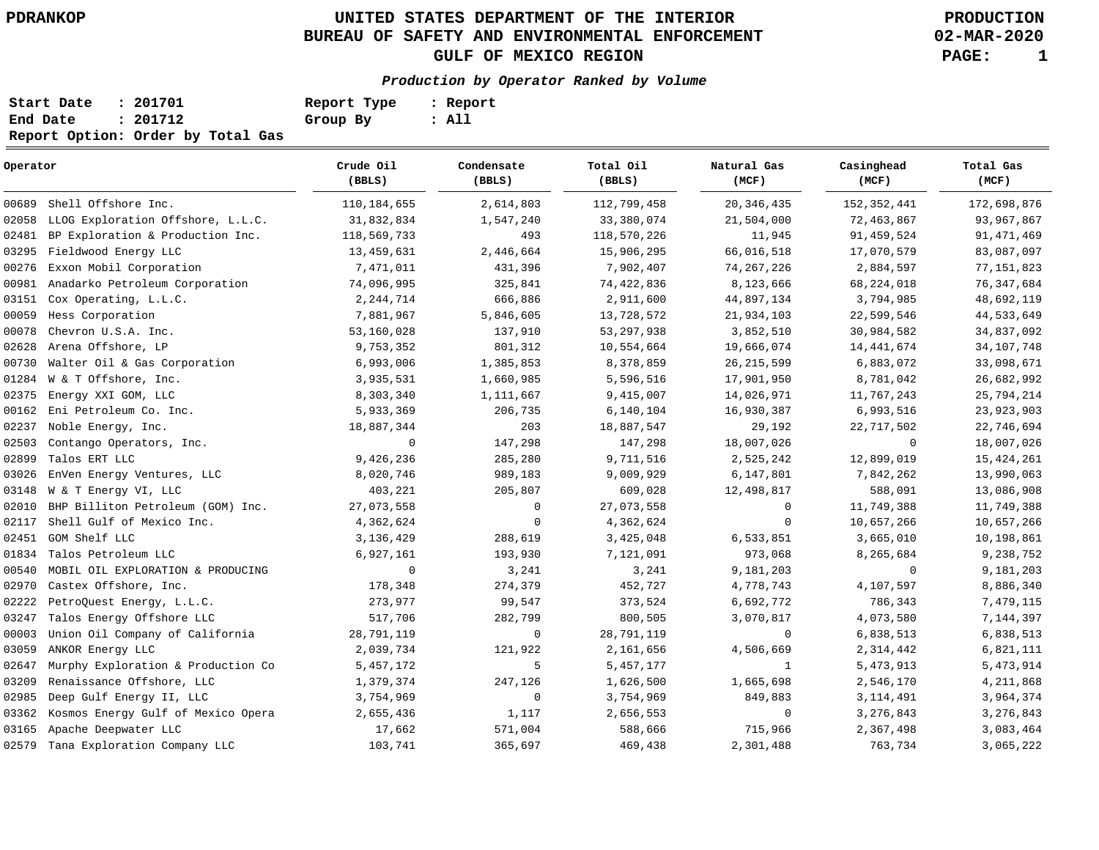## **UNITED STATES DEPARTMENT OF THE INTERIOR PDRANKOP PRODUCTION BUREAU OF SAFETY AND ENVIRONMENTAL ENFORCEMENT GULF OF MEXICO REGION PAGE: 1**

**02-MAR-2020**

**Production by Operator Ranked by Volume**

| Start Date | : 201701                          | Report Type | : Report |
|------------|-----------------------------------|-------------|----------|
| End Date   | : 201712                          | Group By    | : All    |
|            | Report Option: Order by Total Gas |             |          |

| Operator |                                    | Crude Oil<br>(BBLS) | Condensate<br>(BBLS) | Total Oil<br>(BBLS) | Natural Gas<br>(MCF) | Casinghead<br>(MCF) | Total Gas<br>(MCF) |
|----------|------------------------------------|---------------------|----------------------|---------------------|----------------------|---------------------|--------------------|
|          | 00689 Shell Offshore Inc.          | 110, 184, 655       | 2,614,803            | 112,799,458         | 20, 346, 435         | 152, 352, 441       | 172,698,876        |
| 02058    | LLOG Exploration Offshore, L.L.C.  | 31,832,834          | 1,547,240            | 33,380,074          | 21,504,000           | 72,463,867          | 93,967,867         |
| 02481    | BP Exploration & Production Inc.   | 118,569,733         | 493                  | 118,570,226         | 11,945               | 91,459,524          | 91, 471, 469       |
| 03295    | Fieldwood Energy LLC               | 13,459,631          | 2,446,664            | 15,906,295          | 66,016,518           | 17,070,579          | 83,087,097         |
| 00276    | Exxon Mobil Corporation            | 7,471,011           | 431,396              | 7,902,407           | 74, 267, 226         | 2,884,597           | 77, 151, 823       |
| 00981    | Anadarko Petroleum Corporation     | 74,096,995          | 325,841              | 74,422,836          | 8,123,666            | 68,224,018          | 76, 347, 684       |
| 03151    | Cox Operating, L.L.C.              | 2, 244, 714         | 666,886              | 2,911,600           | 44,897,134           | 3,794,985           | 48,692,119         |
| 00059    | Hess Corporation                   | 7,881,967           | 5,846,605            | 13,728,572          | 21,934,103           | 22,599,546          | 44,533,649         |
| 00078    | Chevron U.S.A. Inc.                | 53,160,028          | 137,910              | 53, 297, 938        | 3,852,510            | 30,984,582          | 34,837,092         |
| 02628    | Arena Offshore, LP                 | 9,753,352           | 801,312              | 10,554,664          | 19,666,074           | 14, 441, 674        | 34, 107, 748       |
| 00730    | Walter Oil & Gas Corporation       | 6,993,006           | 1,385,853            | 8,378,859           | 26, 215, 599         | 6,883,072           | 33,098,671         |
| 01284    | W & T Offshore, Inc.               | 3,935,531           | 1,660,985            | 5,596,516           | 17,901,950           | 8,781,042           | 26,682,992         |
| 02375    | Energy XXI GOM, LLC                | 8,303,340           | 1,111,667            | 9,415,007           | 14,026,971           | 11,767,243          | 25,794,214         |
| 00162    | Eni Petroleum Co. Inc.             | 5,933,369           | 206,735              | 6,140,104           | 16,930,387           | 6,993,516           | 23, 923, 903       |
| 02237    | Noble Energy, Inc.                 | 18,887,344          | 203                  | 18,887,547          | 29,192               | 22,717,502          | 22,746,694         |
| 02503    | Contango Operators, Inc.           | $\mathbf 0$         | 147,298              | 147,298             | 18,007,026           | 0                   | 18,007,026         |
| 02899    | Talos ERT LLC                      | 9,426,236           | 285,280              | 9,711,516           | 2,525,242            | 12,899,019          | 15, 424, 261       |
| 03026    | EnVen Energy Ventures, LLC         | 8,020,746           | 989,183              | 9,009,929           | 6,147,801            | 7,842,262           | 13,990,063         |
| 03148    | W & T Energy VI, LLC               | 403,221             | 205,807              | 609,028             | 12,498,817           | 588,091             | 13,086,908         |
| 02010    | BHP Billiton Petroleum (GOM) Inc.  | 27,073,558          | $\mathbf 0$          | 27,073,558          | $\mathbf 0$          | 11,749,388          | 11,749,388         |
| 02117    | Shell Gulf of Mexico Inc.          | 4,362,624           | $\mathbf 0$          | 4,362,624           | $\mathbf 0$          | 10,657,266          | 10,657,266         |
| 02451    | GOM Shelf LLC                      | 3,136,429           | 288,619              | 3,425,048           | 6,533,851            | 3,665,010           | 10,198,861         |
| 01834    | Talos Petroleum LLC                | 6,927,161           | 193,930              | 7,121,091           | 973,068              | 8,265,684           | 9,238,752          |
| 00540    | MOBIL OIL EXPLORATION & PRODUCING  | $\overline{0}$      | 3,241                | 3,241               | 9,181,203            | $\mathbf 0$         | 9,181,203          |
| 02970    | Castex Offshore, Inc.              | 178,348             | 274,379              | 452,727             | 4,778,743            | 4,107,597           | 8,886,340          |
| 02222    | PetroQuest Energy, L.L.C.          | 273,977             | 99,547               | 373,524             | 6,692,772            | 786,343             | 7,479,115          |
| 03247    | Talos Energy Offshore LLC          | 517,706             | 282,799              | 800,505             | 3,070,817            | 4,073,580           | 7,144,397          |
| 00003    | Union Oil Company of California    | 28,791,119          | $\mathbf 0$          | 28,791,119          | $\mathbf 0$          | 6,838,513           | 6,838,513          |
| 03059    | ANKOR Energy LLC                   | 2,039,734           | 121,922              | 2,161,656           | 4,506,669            | 2,314,442           | 6,821,111          |
| 02647    | Murphy Exploration & Production Co | 5,457,172           | 5                    | 5,457,177           | $\mathbf{1}$         | 5,473,913           | 5,473,914          |
| 03209    | Renaissance Offshore, LLC          | 1,379,374           | 247,126              | 1,626,500           | 1,665,698            | 2,546,170           | 4, 211, 868        |
| 02985    | Deep Gulf Energy II, LLC           | 3,754,969           | $\mathbf 0$          | 3,754,969           | 849,883              | 3, 114, 491         | 3,964,374          |
| 03362    | Kosmos Energy Gulf of Mexico Opera | 2,655,436           | 1,117                | 2,656,553           | 0                    | 3,276,843           | 3, 276, 843        |
| 03165    | Apache Deepwater LLC               | 17,662              | 571,004              | 588,666             | 715,966              | 2,367,498           | 3,083,464          |
|          | 02579 Tana Exploration Company LLC | 103,741             | 365,697              | 469,438             | 2,301,488            | 763,734             | 3,065,222          |